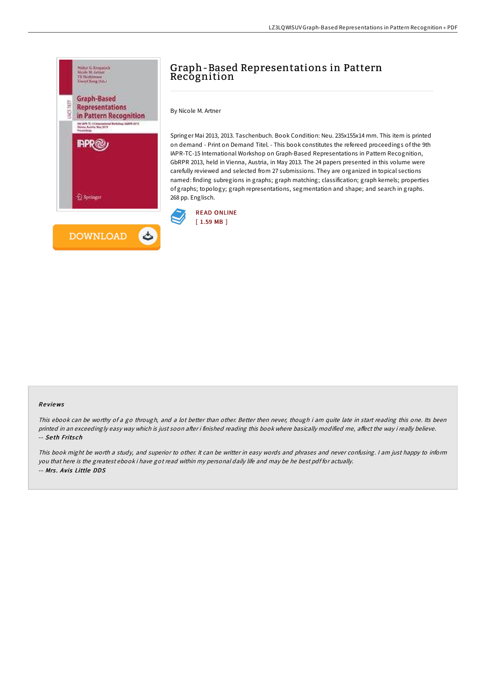

## Graph-Based Representations in Pattern **Recognition**

By Nicole M. Artner

Springer Mai 2013, 2013. Taschenbuch. Book Condition: Neu. 235x155x14 mm. This item is printed on demand - Print on Demand Titel. - This book constitutes the refereed proceedings of the 9th IAPR-TC-15 International Workshop on Graph-Based Representations in Pattern Recognition, GbRPR 2013, held in Vienna, Austria, in May 2013. The 24 papers presented in this volume were carefully reviewed and selected from 27 submissions. They are organized in topical sections named: finding subregions in graphs; graph matching; classification; graph kernels; properties of graphs; topology; graph representations, segmentation and shape; and search in graphs. 268 pp. Englisch.



## Re views

This ebook can be worthy of <sup>a</sup> go through, and <sup>a</sup> lot better than other. Better then never, though i am quite late in start reading this one. Its been printed in an exceedingly easy way which is just soon after i finished reading this book where basically modified me, affect the way i really believe. -- Se th Frits ch

This book might be worth <sup>a</sup> study, and superior to other. It can be writter in easy words and phrases and never confusing. <sup>I</sup> am just happy to inform you that here is the greatest ebook i have got read within my personal daily life and may be he best pdf for actually. -- Mrs . Avis Little DDS